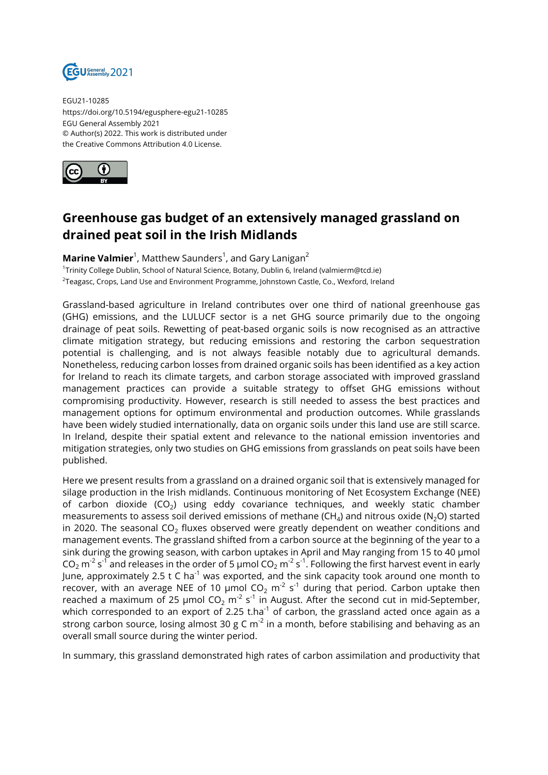

EGU21-10285 https://doi.org/10.5194/egusphere-egu21-10285 EGU General Assembly 2021 © Author(s) 2022. This work is distributed under the Creative Commons Attribution 4.0 License.



## **Greenhouse gas budget of an extensively managed grassland on drained peat soil in the Irish Midlands**

**Marine Valmier**<sup>1</sup>, Matthew Saunders<sup>1</sup>, and Gary Lanigan<sup>2</sup> <sup>1</sup>Trinity College Dublin, School of Natural Science, Botany, Dublin 6, Ireland (valmierm@tcd.ie) <sup>2</sup>Teagasc, Crops, Land Use and Environment Programme, Johnstown Castle, Co., Wexford, Ireland

Grassland-based agriculture in Ireland contributes over one third of national greenhouse gas (GHG) emissions, and the LULUCF sector is a net GHG source primarily due to the ongoing drainage of peat soils. Rewetting of peat-based organic soils is now recognised as an attractive climate mitigation strategy, but reducing emissions and restoring the carbon sequestration potential is challenging, and is not always feasible notably due to agricultural demands. Nonetheless, reducing carbon losses from drained organic soils has been identified as a key action for Ireland to reach its climate targets, and carbon storage associated with improved grassland management practices can provide a suitable strategy to offset GHG emissions without compromising productivity. However, research is still needed to assess the best practices and management options for optimum environmental and production outcomes. While grasslands have been widely studied internationally, data on organic soils under this land use are still scarce. In Ireland, despite their spatial extent and relevance to the national emission inventories and mitigation strategies, only two studies on GHG emissions from grasslands on peat soils have been published.

Here we present results from a grassland on a drained organic soil that is extensively managed for silage production in the Irish midlands. Continuous monitoring of Net Ecosystem Exchange (NEE) of carbon dioxide (CO $_2$ ) using eddy covariance techniques, and weekly static chamber measurements to assess soil derived emissions of methane (CH $_4$ ) and nitrous oxide (N $_2$ O) started in 2020. The seasonal CO $_2$  fluxes observed were greatly dependent on weather conditions and management events. The grassland shifted from a carbon source at the beginning of the year to a sink during the growing season, with carbon uptakes in April and May ranging from 15 to 40 µmol CO $_2$  m $^{\text{-2}}$  s $^{\text{-1}}$  and releases in the order of 5 µmol CO $_2$  m $^{\text{-2}}$  s $^{\text{-1}}$ . Following the first harvest event in early June, approximately 2.5 t C ha<sup>-1</sup> was exported, and the sink capacity took around one month to recover, with an average NEE of 10  $\mu$ mol CO $_2$  m $^2$  s $^1$  during that period. Carbon uptake then reached a maximum of 25  $\mu$ mol CO $_2$  m $^2$  s $^1$  in August. After the second cut in mid-September, which corresponded to an export of 2.25 t.ha<sup>-1</sup> of carbon, the grassland acted once again as a strong carbon source, losing almost 30 g C m<sup>-2</sup> in a month, before stabilising and behaving as an overall small source during the winter period.

In summary, this grassland demonstrated high rates of carbon assimilation and productivity that